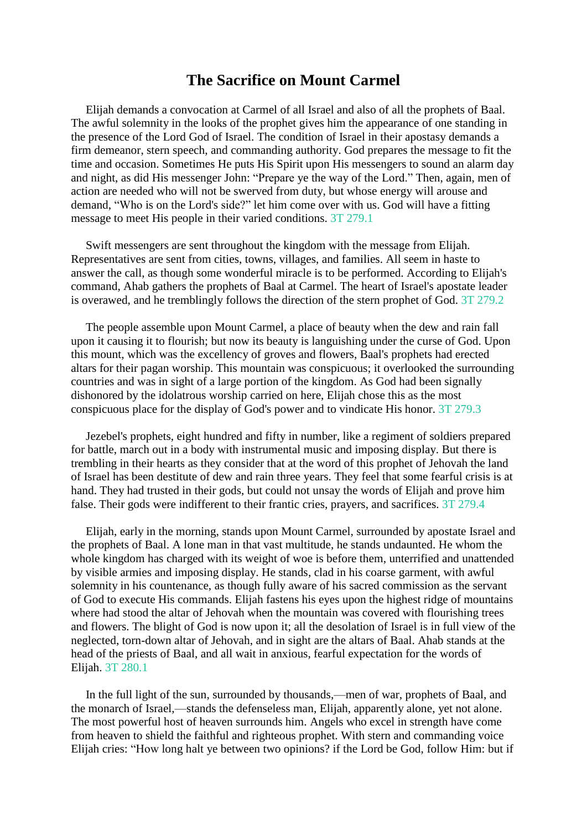## **The Sacrifice on Mount Carmel**

Elijah demands a convocation at Carmel of all Israel and also of all the prophets of Baal. The awful solemnity in the looks of the prophet gives him the appearance of one standing in the presence of the Lord God of Israel. The condition of Israel in their apostasy demands a firm demeanor, stern speech, and commanding authority. God prepares the message to fit the time and occasion. Sometimes He puts His Spirit upon His messengers to sound an alarm day and night, as did His messenger John: "Prepare ye the way of the Lord." Then, again, men of action are needed who will not be swerved from duty, but whose energy will arouse and demand, "Who is on the Lord's side?" let him come over with us. God will have a fitting message to meet His people in their varied conditions. 3T 279.1

Swift messengers are sent throughout the kingdom with the message from Elijah. Representatives are sent from cities, towns, villages, and families. All seem in haste to answer the call, as though some wonderful miracle is to be performed. According to Elijah's command, Ahab gathers the prophets of Baal at Carmel. The heart of Israel's apostate leader is overawed, and he tremblingly follows the direction of the stern prophet of God. 3T 279.2

The people assemble upon Mount Carmel, a place of beauty when the dew and rain fall upon it causing it to flourish; but now its beauty is languishing under the curse of God. Upon this mount, which was the excellency of groves and flowers, Baal's prophets had erected altars for their pagan worship. This mountain was conspicuous; it overlooked the surrounding countries and was in sight of a large portion of the kingdom. As God had been signally dishonored by the idolatrous worship carried on here, Elijah chose this as the most conspicuous place for the display of God's power and to vindicate His honor. 3T 279.3

Jezebel's prophets, eight hundred and fifty in number, like a regiment of soldiers prepared for battle, march out in a body with instrumental music and imposing display. But there is trembling in their hearts as they consider that at the word of this prophet of Jehovah the land of Israel has been destitute of dew and rain three years. They feel that some fearful crisis is at hand. They had trusted in their gods, but could not unsay the words of Elijah and prove him false. Their gods were indifferent to their frantic cries, prayers, and sacrifices. 3T 279.4

Elijah, early in the morning, stands upon Mount Carmel, surrounded by apostate Israel and the prophets of Baal. A lone man in that vast multitude, he stands undaunted. He whom the whole kingdom has charged with its weight of woe is before them, unterrified and unattended by visible armies and imposing display. He stands, clad in his coarse garment, with awful solemnity in his countenance, as though fully aware of his sacred commission as the servant of God to execute His commands. Elijah fastens his eyes upon the highest ridge of mountains where had stood the altar of Jehovah when the mountain was covered with flourishing trees and flowers. The blight of God is now upon it; all the desolation of Israel is in full view of the neglected, torn-down altar of Jehovah, and in sight are the altars of Baal. Ahab stands at the head of the priests of Baal, and all wait in anxious, fearful expectation for the words of Elijah. 3T 280.1

In the full light of the sun, surrounded by thousands,—men of war, prophets of Baal, and the monarch of Israel,—stands the defenseless man, Elijah, apparently alone, yet not alone. The most powerful host of heaven surrounds him. Angels who excel in strength have come from heaven to shield the faithful and righteous prophet. With stern and commanding voice Elijah cries: "How long halt ye between two opinions? if the Lord be God, follow Him: but if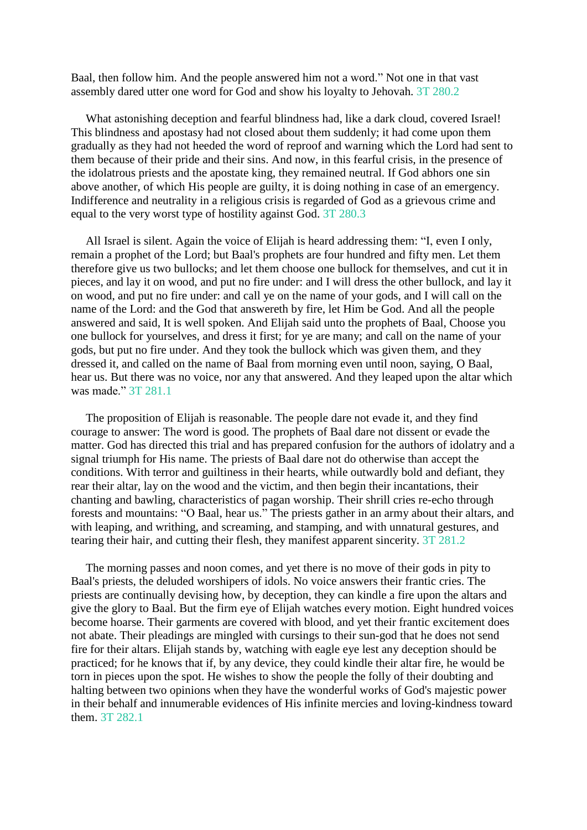Baal, then follow him. And the people answered him not a word." Not one in that vast assembly dared utter one word for God and show his loyalty to Jehovah. 3T 280.2

What astonishing deception and fearful blindness had, like a dark cloud, covered Israel! This blindness and apostasy had not closed about them suddenly; it had come upon them gradually as they had not heeded the word of reproof and warning which the Lord had sent to them because of their pride and their sins. And now, in this fearful crisis, in the presence of the idolatrous priests and the apostate king, they remained neutral. If God abhors one sin above another, of which His people are guilty, it is doing nothing in case of an emergency. Indifference and neutrality in a religious crisis is regarded of God as a grievous crime and equal to the very worst type of hostility against God. 3T 280.3

All Israel is silent. Again the voice of Elijah is heard addressing them: "I, even I only, remain a prophet of the Lord; but Baal's prophets are four hundred and fifty men. Let them therefore give us two bullocks; and let them choose one bullock for themselves, and cut it in pieces, and lay it on wood, and put no fire under: and I will dress the other bullock, and lay it on wood, and put no fire under: and call ye on the name of your gods, and I will call on the name of the Lord: and the God that answereth by fire, let Him be God. And all the people answered and said, It is well spoken. And Elijah said unto the prophets of Baal, Choose you one bullock for yourselves, and dress it first; for ye are many; and call on the name of your gods, but put no fire under. And they took the bullock which was given them, and they dressed it, and called on the name of Baal from morning even until noon, saying, O Baal, hear us. But there was no voice, nor any that answered. And they leaped upon the altar which was made." 3T 281.1

The proposition of Elijah is reasonable. The people dare not evade it, and they find courage to answer: The word is good. The prophets of Baal dare not dissent or evade the matter. God has directed this trial and has prepared confusion for the authors of idolatry and a signal triumph for His name. The priests of Baal dare not do otherwise than accept the conditions. With terror and guiltiness in their hearts, while outwardly bold and defiant, they rear their altar, lay on the wood and the victim, and then begin their incantations, their chanting and bawling, characteristics of pagan worship. Their shrill cries re-echo through forests and mountains: "O Baal, hear us." The priests gather in an army about their altars, and with leaping, and writhing, and screaming, and stamping, and with unnatural gestures, and tearing their hair, and cutting their flesh, they manifest apparent sincerity. 3T 281.2

The morning passes and noon comes, and yet there is no move of their gods in pity to Baal's priests, the deluded worshipers of idols. No voice answers their frantic cries. The priests are continually devising how, by deception, they can kindle a fire upon the altars and give the glory to Baal. But the firm eye of Elijah watches every motion. Eight hundred voices become hoarse. Their garments are covered with blood, and yet their frantic excitement does not abate. Their pleadings are mingled with cursings to their sun-god that he does not send fire for their altars. Elijah stands by, watching with eagle eye lest any deception should be practiced; for he knows that if, by any device, they could kindle their altar fire, he would be torn in pieces upon the spot. He wishes to show the people the folly of their doubting and halting between two opinions when they have the wonderful works of God's majestic power in their behalf and innumerable evidences of His infinite mercies and loving-kindness toward them. 3T 282.1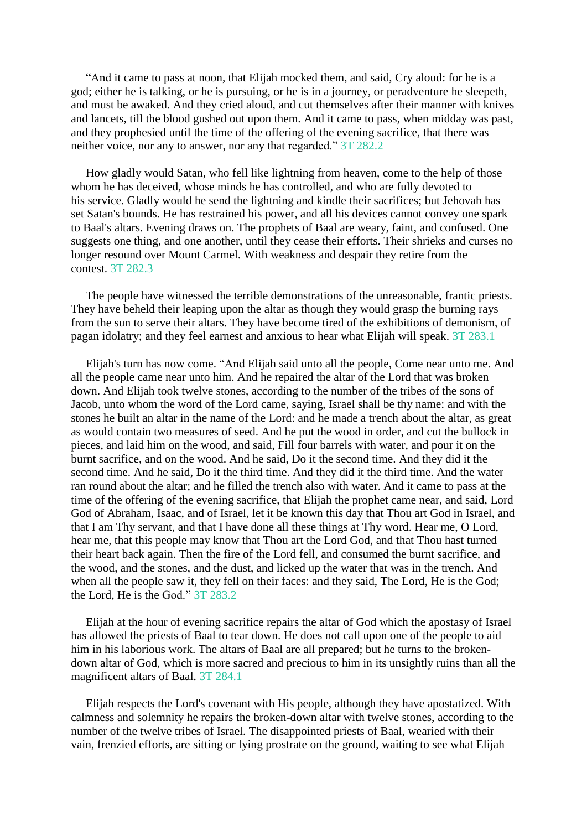"And it came to pass at noon, that Elijah mocked them, and said, Cry aloud: for he is a god; either he is talking, or he is pursuing, or he is in a journey, or peradventure he sleepeth, and must be awaked. And they cried aloud, and cut themselves after their manner with knives and lancets, till the blood gushed out upon them. And it came to pass, when midday was past, and they prophesied until the time of the offering of the evening sacrifice, that there was neither voice, nor any to answer, nor any that regarded." 3T 282.2

How gladly would Satan, who fell like lightning from heaven, come to the help of those whom he has deceived, whose minds he has controlled, and who are fully devoted to his service. Gladly would he send the lightning and kindle their sacrifices; but Jehovah has set Satan's bounds. He has restrained his power, and all his devices cannot convey one spark to Baal's altars. Evening draws on. The prophets of Baal are weary, faint, and confused. One suggests one thing, and one another, until they cease their efforts. Their shrieks and curses no longer resound over Mount Carmel. With weakness and despair they retire from the contest. 3T 282.3

The people have witnessed the terrible demonstrations of the unreasonable, frantic priests. They have beheld their leaping upon the altar as though they would grasp the burning rays from the sun to serve their altars. They have become tired of the exhibitions of demonism, of pagan idolatry; and they feel earnest and anxious to hear what Elijah will speak. 3T 283.1

Elijah's turn has now come. "And Elijah said unto all the people, Come near unto me. And all the people came near unto him. And he repaired the altar of the Lord that was broken down. And Elijah took twelve stones, according to the number of the tribes of the sons of Jacob, unto whom the word of the Lord came, saying, Israel shall be thy name: and with the stones he built an altar in the name of the Lord: and he made a trench about the altar, as great as would contain two measures of seed. And he put the wood in order, and cut the bullock in pieces, and laid him on the wood, and said, Fill four barrels with water, and pour it on the burnt sacrifice, and on the wood. And he said, Do it the second time. And they did it the second time. And he said, Do it the third time. And they did it the third time. And the water ran round about the altar; and he filled the trench also with water. And it came to pass at the time of the offering of the evening sacrifice, that Elijah the prophet came near, and said, Lord God of Abraham, Isaac, and of Israel, let it be known this day that Thou art God in Israel, and that I am Thy servant, and that I have done all these things at Thy word. Hear me, O Lord, hear me, that this people may know that Thou art the Lord God, and that Thou hast turned their heart back again. Then the fire of the Lord fell, and consumed the burnt sacrifice, and the wood, and the stones, and the dust, and licked up the water that was in the trench. And when all the people saw it, they fell on their faces: and they said, The Lord, He is the God; the Lord, He is the God." 3T 283.2

Elijah at the hour of evening sacrifice repairs the altar of God which the apostasy of Israel has allowed the priests of Baal to tear down. He does not call upon one of the people to aid him in his laborious work. The altars of Baal are all prepared; but he turns to the brokendown altar of God, which is more sacred and precious to him in its unsightly ruins than all the magnificent altars of Baal. 3T 284.1

Elijah respects the Lord's covenant with His people, although they have apostatized. With calmness and solemnity he repairs the broken-down altar with twelve stones, according to the number of the twelve tribes of Israel. The disappointed priests of Baal, wearied with their vain, frenzied efforts, are sitting or lying prostrate on the ground, waiting to see what Elijah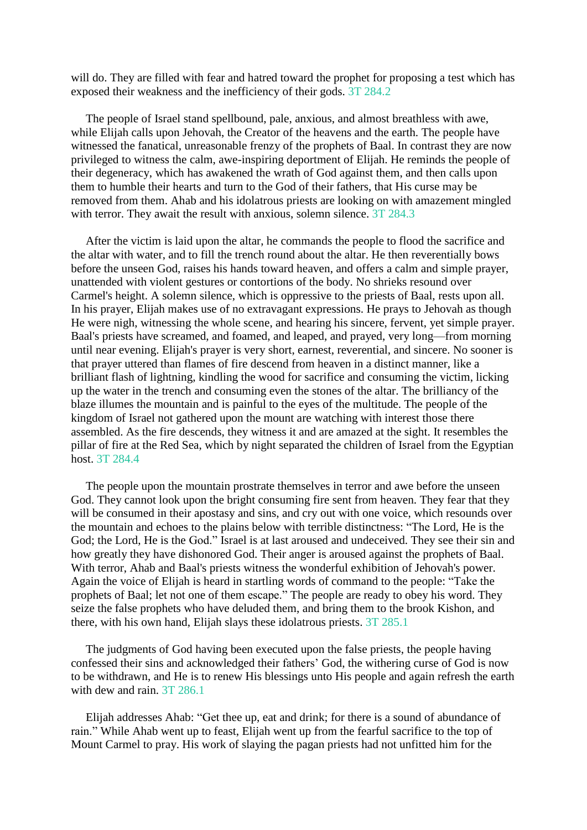will do. They are filled with fear and hatred toward the prophet for proposing a test which has exposed their weakness and the inefficiency of their gods. 3T 284.2

The people of Israel stand spellbound, pale, anxious, and almost breathless with awe, while Elijah calls upon Jehovah, the Creator of the heavens and the earth. The people have witnessed the fanatical, unreasonable frenzy of the prophets of Baal. In contrast they are now privileged to witness the calm, awe-inspiring deportment of Elijah. He reminds the people of their degeneracy, which has awakened the wrath of God against them, and then calls upon them to humble their hearts and turn to the God of their fathers, that His curse may be removed from them. Ahab and his idolatrous priests are looking on with amazement mingled with terror. They await the result with anxious, solemn silence. 3T 284.3

After the victim is laid upon the altar, he commands the people to flood the sacrifice and the altar with water, and to fill the trench round about the altar. He then reverentially bows before the unseen God, raises his hands toward heaven, and offers a calm and simple prayer, unattended with violent gestures or contortions of the body. No shrieks resound over Carmel's height. A solemn silence, which is oppressive to the priests of Baal, rests upon all. In his prayer, Elijah makes use of no extravagant expressions. He prays to Jehovah as though He were nigh, witnessing the whole scene, and hearing his sincere, fervent, yet simple prayer. Baal's priests have screamed, and foamed, and leaped, and prayed, very long—from morning until near evening. Elijah's prayer is very short, earnest, reverential, and sincere. No sooner is that prayer uttered than flames of fire descend from heaven in a distinct manner, like a brilliant flash of lightning, kindling the wood for sacrifice and consuming the victim, licking up the water in the trench and consuming even the stones of the altar. The brilliancy of the blaze illumes the mountain and is painful to the eyes of the multitude. The people of the kingdom of Israel not gathered upon the mount are watching with interest those there assembled. As the fire descends, they witness it and are amazed at the sight. It resembles the pillar of fire at the Red Sea, which by night separated the children of Israel from the Egyptian host. 3T 284.4

The people upon the mountain prostrate themselves in terror and awe before the unseen God. They cannot look upon the bright consuming fire sent from heaven. They fear that they will be consumed in their apostasy and sins, and cry out with one voice, which resounds over the mountain and echoes to the plains below with terrible distinctness: "The Lord, He is the God; the Lord, He is the God." Israel is at last aroused and undeceived. They see their sin and how greatly they have dishonored God. Their anger is aroused against the prophets of Baal. With terror, Ahab and Baal's priests witness the wonderful exhibition of Jehovah's power. Again the voice of Elijah is heard in startling words of command to the people: "Take the prophets of Baal; let not one of them escape." The people are ready to obey his word. They seize the false prophets who have deluded them, and bring them to the brook Kishon, and there, with his own hand, Elijah slays these idolatrous priests. 3T 285.1

The judgments of God having been executed upon the false priests, the people having confessed their sins and acknowledged their fathers' God, the withering curse of God is now to be withdrawn, and He is to renew His blessings unto His people and again refresh the earth with dew and rain. 3T 286.1

Elijah addresses Ahab: "Get thee up, eat and drink; for there is a sound of abundance of rain." While Ahab went up to feast, Elijah went up from the fearful sacrifice to the top of Mount Carmel to pray. His work of slaying the pagan priests had not unfitted him for the